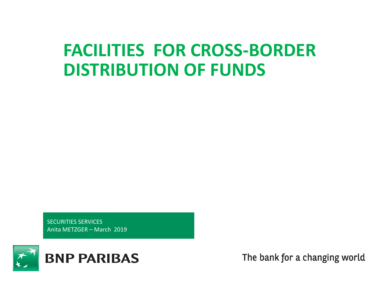# **FACILITIES FOR CROSS-BORDER DISTRIBUTION OF FUNDS**

SECURITIES SERVICES Anita METZGER – March 2019



The bank for a changing world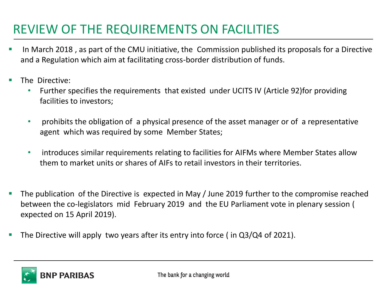## REVIEW OF THE REQUIREMENTS ON FACILITIES

- In March 2018, as part of the CMU initiative, the Commission published its proposals for a Directive and a Regulation which aim at facilitating cross-border distribution of funds.
- The Directive:
	- Further specifies the requirements that existed under UCITS IV (Article 92)for providing facilities to investors;
	- prohibits the obligation of a physical presence of the asset manager or of a representative agent which was required by some Member States;
	- introduces similar requirements relating to facilities for AIFMs where Member States allow them to market units or shares of AIFs to retail investors in their territories.
- The publication of the Directive is expected in May / June 2019 further to the compromise reached between the co-legislators mid February 2019 and the EU Parliament vote in plenary session ( expected on 15 April 2019).
- The Directive will apply two years after its entry into force ( in  $Q3/Q4$  of 2021).

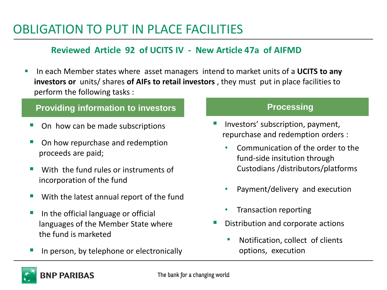## OBLIGATION TO PUT IN PLACE FACILITIES

### **Reviewed Article 92 of UCITS IV - New Article 47a of AIFMD**

In each Member states where asset managers intend to market units of a UCITS to any **investors or** units/ shares **of AIFs to retail investors** , they must put in place facilities to perform the following tasks :

#### **Providing information to investors <b>Processing**

- On how can be made subscriptions
- On how repurchase and redemption proceeds are paid;
- With the fund rules or instruments of incorporation of the fund
- With the latest annual report of the fund
- In the official language or official languages of the Member State where the fund is marketed
- In person, by telephone or electronically

- Investors' subscription, payment, repurchase and redemption orders :
	- Communication of the order to the fund-side insitution through Custodians /distributors/platforms
	- Payment/delivery and execution
	- Transaction reporting
- Distribution and corporate actions
	- Notification, collect of clients options, execution

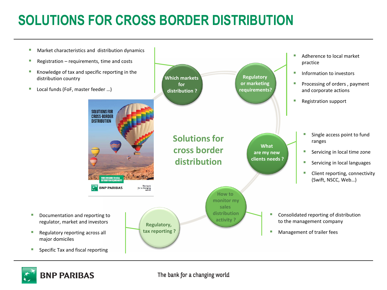# **SOLUTIONS FOR CROSS BORDER DISTRIBUTION**



**BNP PARIBAS**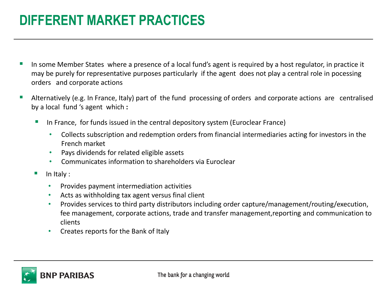# **DIFFERENT MARKET PRACTICES**

- In some Member States where a presence of a local fund's agent is required by a host regulator, in practice it may be purely for representative purposes particularly if the agent does not play a central role in pocessing orders and corporate actions
- **E** Alternatively (e.g. In France, Italy) part of the fund processing of orders and corporate actions are centralised by a local fund 's agent which **:** 
	- In France, for funds issued in the central depository system (Euroclear France)
		- Collects subscription and redemption orders from financial intermediaries acting for investors in the French market
		- Pays dividends for related eligible assets
		- Communicates information to shareholders via Euroclear
	- In Italy :
		- Provides payment intermediation activities
		- Acts as withholding tax agent versus final client
		- Provides services to third party distributors including order capture/management/routing/execution, fee management, corporate actions, trade and transfer management,reporting and communication to clients
		- Creates reports for the Bank of Italy

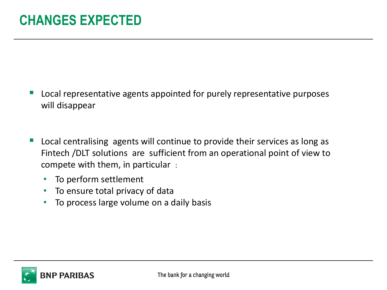- Local representative agents appointed for purely representative purposes will disappear
- Local centralising agents will continue to provide their services as long as Fintech /DLT solutions are sufficient from an operational point of view to compete with them, in particular :
	- To perform settlement
	- To ensure total privacy of data
	- To process large volume on a daily basis